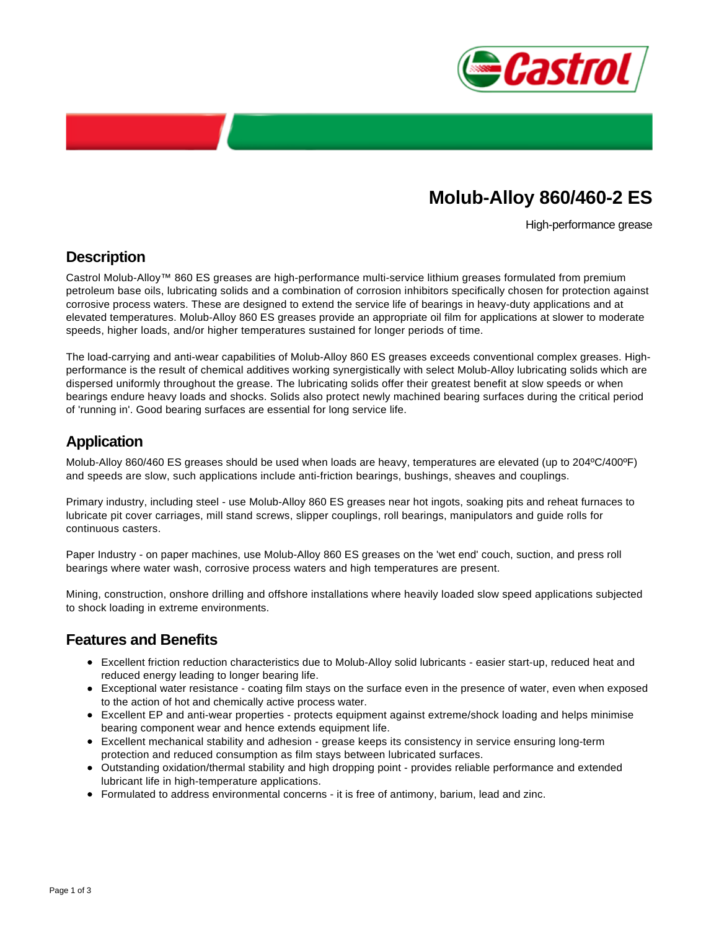

# **Molub-Alloy 860/460-2 ES**

High-performance grease

#### **Description**

Castrol Molub-Alloy™ 860 ES greases are high-performance multi-service lithium greases formulated from premium petroleum base oils, lubricating solids and a combination of corrosion inhibitors specifically chosen for protection against corrosive process waters. These are designed to extend the service life of bearings in heavy-duty applications and at elevated temperatures. Molub-Alloy 860 ES greases provide an appropriate oil film for applications at slower to moderate speeds, higher loads, and/or higher temperatures sustained for longer periods of time.

The load-carrying and anti-wear capabilities of Molub-Alloy 860 ES greases exceeds conventional complex greases. Highperformance is the result of chemical additives working synergistically with select Molub-Alloy lubricating solids which are dispersed uniformly throughout the grease. The lubricating solids offer their greatest benefit at slow speeds or when bearings endure heavy loads and shocks. Solids also protect newly machined bearing surfaces during the critical period of 'running in'. Good bearing surfaces are essential for long service life.

#### **Application**

Molub-Alloy 860/460 ES greases should be used when loads are heavy, temperatures are elevated (up to 204ºC/400ºF) and speeds are slow, such applications include anti-friction bearings, bushings, sheaves and couplings.

Primary industry, including steel - use Molub-Alloy 860 ES greases near hot ingots, soaking pits and reheat furnaces to lubricate pit cover carriages, mill stand screws, slipper couplings, roll bearings, manipulators and guide rolls for continuous casters.

Paper Industry - on paper machines, use Molub-Alloy 860 ES greases on the 'wet end' couch, suction, and press roll bearings where water wash, corrosive process waters and high temperatures are present.

Mining, construction, onshore drilling and offshore installations where heavily loaded slow speed applications subjected to shock loading in extreme environments.

#### **Features and Benefits**

- Excellent friction reduction characteristics due to Molub-Alloy solid lubricants easier start-up, reduced heat and reduced energy leading to longer bearing life.
- Exceptional water resistance coating film stays on the surface even in the presence of water, even when exposed to the action of hot and chemically active process water.
- Excellent EP and anti-wear properties protects equipment against extreme/shock loading and helps minimise bearing component wear and hence extends equipment life.
- Excellent mechanical stability and adhesion grease keeps its consistency in service ensuring long-term protection and reduced consumption as film stays between lubricated surfaces.
- Outstanding oxidation/thermal stability and high dropping point provides reliable performance and extended lubricant life in high-temperature applications.
- Formulated to address environmental concerns it is free of antimony, barium, lead and zinc.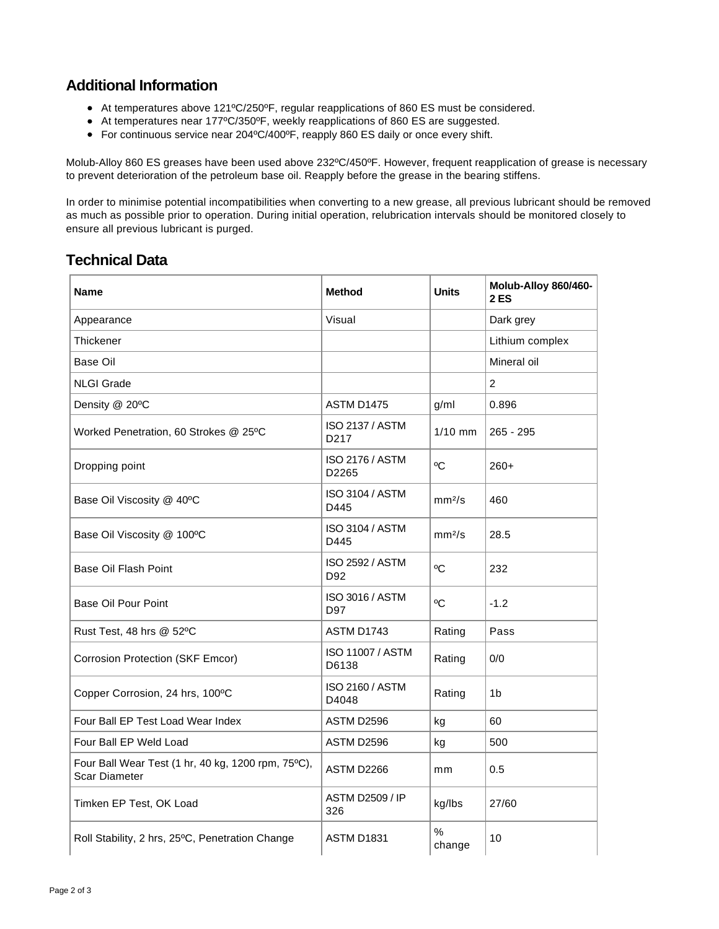### **Additional Information**

- At temperatures above 121ºC/250ºF, regular reapplications of 860 ES must be considered.
- At temperatures near 177ºC/350ºF, weekly reapplications of 860 ES are suggested.
- For continuous service near 204ºC/400ºF, reapply 860 ES daily or once every shift.

Molub-Alloy 860 ES greases have been used above 232ºC/450ºF. However, frequent reapplication of grease is necessary to prevent deterioration of the petroleum base oil. Reapply before the grease in the bearing stiffens.

In order to minimise potential incompatibilities when converting to a new grease, all previous lubricant should be removed as much as possible prior to operation. During initial operation, relubrication intervals should be monitored closely to ensure all previous lubricant is purged.

## **Technical Data**

| Name                                                                       | <b>Method</b>                               | <b>Units</b>       | Molub-Alloy 860/460-<br><b>2 ES</b> |
|----------------------------------------------------------------------------|---------------------------------------------|--------------------|-------------------------------------|
| Appearance                                                                 | Visual                                      |                    | Dark grey                           |
| Thickener                                                                  |                                             |                    | Lithium complex                     |
| Base Oil                                                                   |                                             |                    | Mineral oil                         |
| <b>NLGI Grade</b>                                                          |                                             |                    | $\overline{2}$                      |
| Density @ 20°C                                                             | ASTM D1475                                  | g/ml               | 0.896                               |
| Worked Penetration, 60 Strokes @ 25°C                                      | <b>ISO 2137 / ASTM</b><br>D <sub>2</sub> 17 | $1/10$ mm          | $265 - 295$                         |
| Dropping point                                                             | <b>ISO 2176 / ASTM</b><br>D2265             | $^{\circ}$ C       | $260+$                              |
| Base Oil Viscosity @ 40°C                                                  | <b>ISO 3104 / ASTM</b><br>D445              | mm <sup>2</sup> /s | 460                                 |
| Base Oil Viscosity @ 100°C                                                 | <b>ISO 3104 / ASTM</b><br>D445              | mm <sup>2</sup> /s | 28.5                                |
| <b>Base Oil Flash Point</b>                                                | <b>ISO 2592 / ASTM</b><br>D92               | °C                 | 232                                 |
| <b>Base Oil Pour Point</b>                                                 | <b>ISO 3016 / ASTM</b><br>D97               | $\rm ^{0}C$        | $-1.2$                              |
| Rust Test, 48 hrs @ 52°C                                                   | ASTM D1743                                  | Rating             | Pass                                |
| <b>Corrosion Protection (SKF Emcor)</b>                                    | <b>ISO 11007 / ASTM</b><br>D6138            | Rating             | 0/0                                 |
| Copper Corrosion, 24 hrs, 100°C                                            | ISO 2160 / ASTM<br>D4048                    | Rating             | 1 <sub>b</sub>                      |
| Four Ball EP Test Load Wear Index                                          | ASTM D2596                                  | kg                 | 60                                  |
| Four Ball EP Weld Load                                                     | ASTM D2596                                  | kg                 | 500                                 |
| Four Ball Wear Test (1 hr, 40 kg, 1200 rpm, 75°C),<br><b>Scar Diameter</b> | ASTM D2266                                  | mm                 | 0.5                                 |
| Timken EP Test, OK Load                                                    | <b>ASTM D2509 / IP</b><br>326               | kg/lbs             | 27/60                               |
| Roll Stability, 2 hrs, 25°C, Penetration Change                            | <b>ASTM D1831</b>                           | $\%$<br>change     | 10                                  |